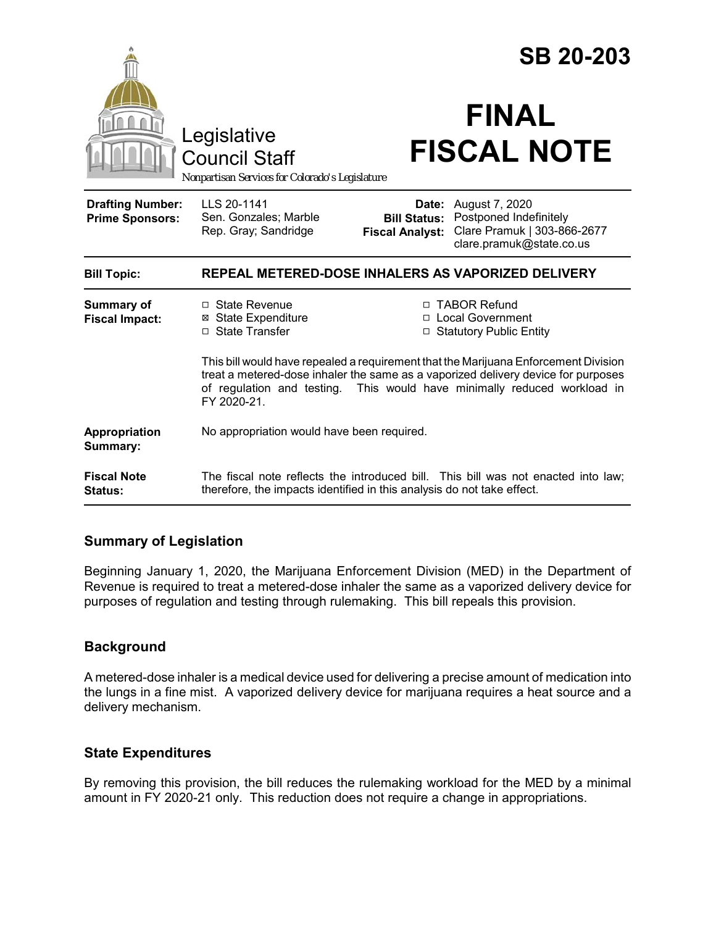|                                                   |                                                                                                                                                                                                                                                                     |                                 | <b>SB 20-203</b>                                                                                                        |  |
|---------------------------------------------------|---------------------------------------------------------------------------------------------------------------------------------------------------------------------------------------------------------------------------------------------------------------------|---------------------------------|-------------------------------------------------------------------------------------------------------------------------|--|
|                                                   | Legislative<br><b>Council Staff</b><br>Nonpartisan Services for Colorado's Legislature                                                                                                                                                                              |                                 | <b>FINAL</b><br><b>FISCAL NOTE</b>                                                                                      |  |
| <b>Drafting Number:</b><br><b>Prime Sponsors:</b> | LLS 20-1141<br>Sen. Gonzales; Marble<br>Rep. Gray; Sandridge                                                                                                                                                                                                        | Date:<br><b>Fiscal Analyst:</b> | August 7, 2020<br><b>Bill Status:</b> Postponed Indefinitely<br>Clare Pramuk   303-866-2677<br>clare.pramuk@state.co.us |  |
| <b>Bill Topic:</b>                                | REPEAL METERED-DOSE INHALERS AS VAPORIZED DELIVERY                                                                                                                                                                                                                  |                                 |                                                                                                                         |  |
| <b>Summary of</b><br><b>Fiscal Impact:</b>        | $\Box$ State Revenue<br><b>⊠</b> State Expenditure<br>□ State Transfer                                                                                                                                                                                              |                                 | □ TABOR Refund<br>□ Local Government<br>□ Statutory Public Entity                                                       |  |
|                                                   | This bill would have repealed a requirement that the Marijuana Enforcement Division<br>treat a metered-dose inhaler the same as a vaporized delivery device for purposes<br>of regulation and testing. This would have minimally reduced workload in<br>FY 2020-21. |                                 |                                                                                                                         |  |
| Appropriation<br>Summary:                         | No appropriation would have been required.                                                                                                                                                                                                                          |                                 |                                                                                                                         |  |
| <b>Fiscal Note</b><br><b>Status:</b>              | The fiscal note reflects the introduced bill. This bill was not enacted into law;<br>therefore, the impacts identified in this analysis do not take effect.                                                                                                         |                                 |                                                                                                                         |  |

### **Summary of Legislation**

Beginning January 1, 2020, the Marijuana Enforcement Division (MED) in the Department of Revenue is required to treat a metered-dose inhaler the same as a vaporized delivery device for purposes of regulation and testing through rulemaking. This bill repeals this provision.

#### **Background**

A metered-dose inhaler is a medical device used for delivering a precise amount of medication into the lungs in a fine mist. A vaporized delivery device for marijuana requires a heat source and a delivery mechanism.

#### **State Expenditures**

By removing this provision, the bill reduces the rulemaking workload for the MED by a minimal amount in FY 2020-21 only. This reduction does not require a change in appropriations.